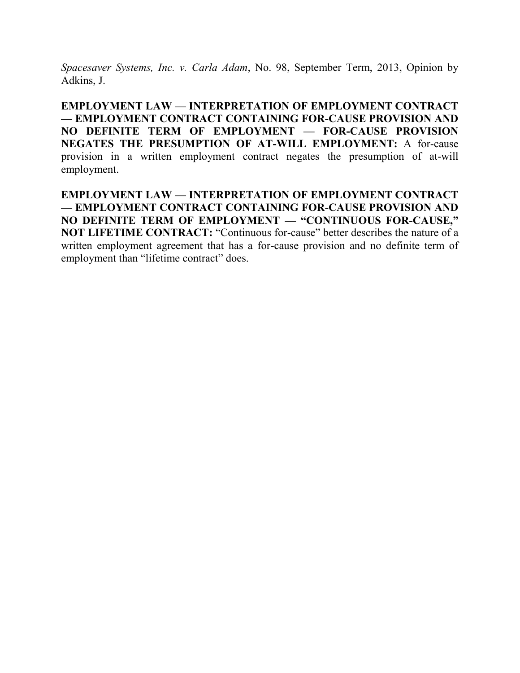*Spacesaver Systems, Inc. v. Carla Adam*, No. 98, September Term, 2013, Opinion by Adkins, J.

**EMPLOYMENT LAW — INTERPRETATION OF EMPLOYMENT CONTRACT — EMPLOYMENT CONTRACT CONTAINING FOR-CAUSE PROVISION AND NO DEFINITE TERM OF EMPLOYMENT — FOR-CAUSE PROVISION NEGATES THE PRESUMPTION OF AT-WILL EMPLOYMENT:** A for-cause provision in a written employment contract negates the presumption of at-will employment.

**EMPLOYMENT LAW — INTERPRETATION OF EMPLOYMENT CONTRACT — EMPLOYMENT CONTRACT CONTAINING FOR-CAUSE PROVISION AND NO DEFINITE TERM OF EMPLOYMENT — "CONTINUOUS FOR-CAUSE," NOT LIFETIME CONTRACT:** "Continuous for-cause" better describes the nature of a written employment agreement that has a for-cause provision and no definite term of employment than "lifetime contract" does.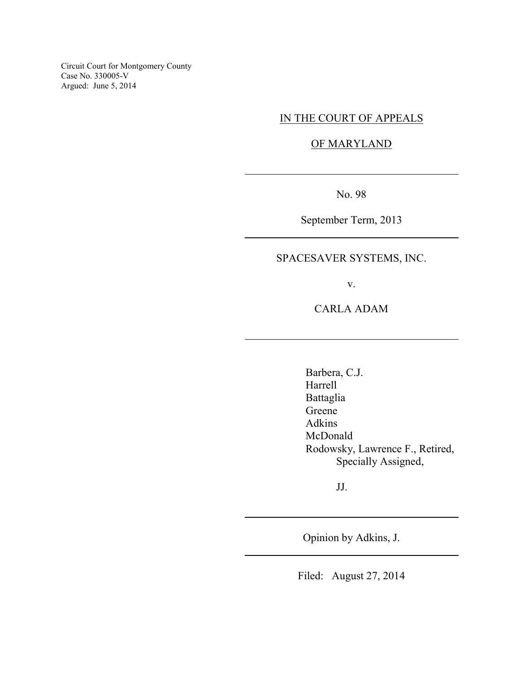Circuit Court for Montgomery County Case No. 330005-V Argued: June 5, 2014

# IN THE COURT OF APPEALS

### OF MARYLAND

No. 98

 $\overline{a}$ 

 $\overline{a}$ 

 $\overline{a}$ 

 $\overline{a}$ 

 $\overline{a}$ 

September Term, 2013

# SPACESAVER SYSTEMS, INC.

v.

CARLA ADAM

Barbera, C.J. Harrell Battaglia Greene Adkins McDonald Rodowsky, Lawrence F., Retired, Specially Assigned,

JJ.

Opinion by Adkins, J.

Filed: August 27, 2014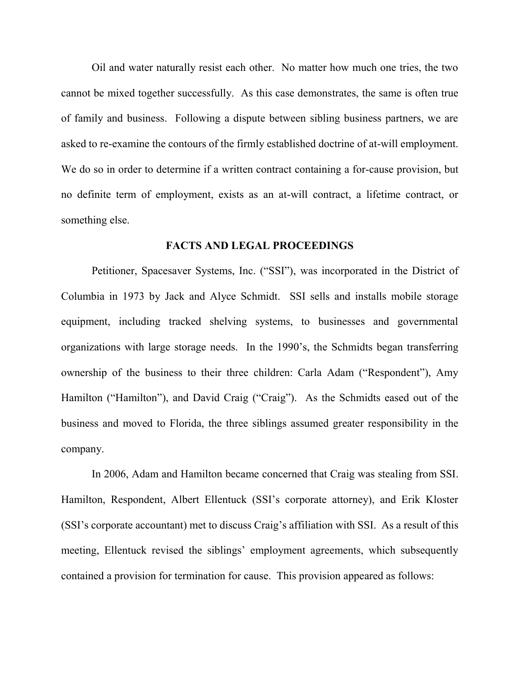Oil and water naturally resist each other. No matter how much one tries, the two cannot be mixed together successfully. As this case demonstrates, the same is often true of family and business. Following a dispute between sibling business partners, we are asked to re-examine the contours of the firmly established doctrine of at-will employment. We do so in order to determine if a written contract containing a for-cause provision, but no definite term of employment, exists as an at-will contract, a lifetime contract, or something else.

#### **FACTS AND LEGAL PROCEEDINGS**

Petitioner, Spacesaver Systems, Inc. ("SSI"), was incorporated in the District of Columbia in 1973 by Jack and Alyce Schmidt. SSI sells and installs mobile storage equipment, including tracked shelving systems, to businesses and governmental organizations with large storage needs. In the 1990's, the Schmidts began transferring ownership of the business to their three children: Carla Adam ("Respondent"), Amy Hamilton ("Hamilton"), and David Craig ("Craig"). As the Schmidts eased out of the business and moved to Florida, the three siblings assumed greater responsibility in the company.

In 2006, Adam and Hamilton became concerned that Craig was stealing from SSI. Hamilton, Respondent, Albert Ellentuck (SSI's corporate attorney), and Erik Kloster (SSI's corporate accountant) met to discuss Craig's affiliation with SSI. As a result of this meeting, Ellentuck revised the siblings' employment agreements, which subsequently contained a provision for termination for cause. This provision appeared as follows: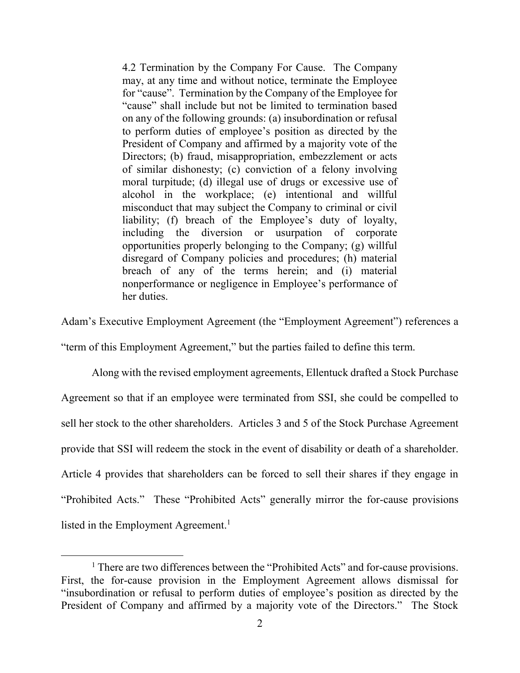4.2 Termination by the Company For Cause. The Company may, at any time and without notice, terminate the Employee for "cause". Termination by the Company of the Employee for "cause" shall include but not be limited to termination based on any of the following grounds: (a) insubordination or refusal to perform duties of employee's position as directed by the President of Company and affirmed by a majority vote of the Directors; (b) fraud, misappropriation, embezzlement or acts of similar dishonesty; (c) conviction of a felony involving moral turpitude; (d) illegal use of drugs or excessive use of alcohol in the workplace; (e) intentional and willful misconduct that may subject the Company to criminal or civil liability; (f) breach of the Employee's duty of loyalty, including the diversion or usurpation of corporate opportunities properly belonging to the Company; (g) willful disregard of Company policies and procedures; (h) material breach of any of the terms herein; and (i) material nonperformance or negligence in Employee's performance of her duties.

Adam's Executive Employment Agreement (the "Employment Agreement") references a

"term of this Employment Agreement," but the parties failed to define this term.

Along with the revised employment agreements, Ellentuck drafted a Stock Purchase Agreement so that if an employee were terminated from SSI, she could be compelled to sell her stock to the other shareholders. Articles 3 and 5 of the Stock Purchase Agreement provide that SSI will redeem the stock in the event of disability or death of a shareholder. Article 4 provides that shareholders can be forced to sell their shares if they engage in "Prohibited Acts." These "Prohibited Acts" generally mirror the for-cause provisions listed in the Employment Agreement.<sup>1</sup>

<sup>&</sup>lt;sup>1</sup> There are two differences between the "Prohibited Acts" and for-cause provisions. First, the for-cause provision in the Employment Agreement allows dismissal for "insubordination or refusal to perform duties of employee's position as directed by the President of Company and affirmed by a majority vote of the Directors." The Stock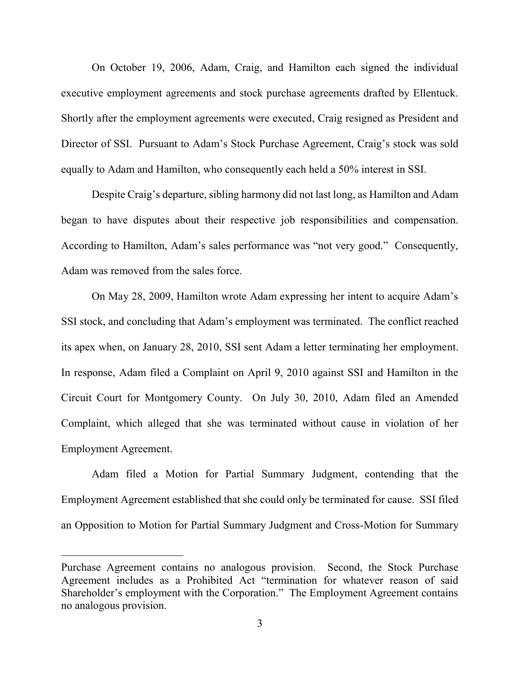On October 19, 2006, Adam, Craig, and Hamilton each signed the individual executive employment agreements and stock purchase agreements drafted by Ellentuck. Shortly after the employment agreements were executed, Craig resigned as President and Director of SSI. Pursuant to Adam's Stock Purchase Agreement, Craig's stock was sold equally to Adam and Hamilton, who consequently each held a 50% interest in SSI.

Despite Craig's departure, sibling harmony did not last long, as Hamilton and Adam began to have disputes about their respective job responsibilities and compensation. According to Hamilton, Adam's sales performance was "not very good." Consequently, Adam was removed from the sales force.

On May 28, 2009, Hamilton wrote Adam expressing her intent to acquire Adam's SSI stock, and concluding that Adam's employment was terminated. The conflict reached its apex when, on January 28, 2010, SSI sent Adam a letter terminating her employment. In response, Adam filed a Complaint on April 9, 2010 against SSI and Hamilton in the Circuit Court for Montgomery County. On July 30, 2010, Adam filed an Amended Complaint, which alleged that she was terminated without cause in violation of her Employment Agreement.

Adam filed a Motion for Partial Summary Judgment, contending that the Employment Agreement established that she could only be terminated for cause. SSI filed an Opposition to Motion for Partial Summary Judgment and Cross-Motion for Summary

Purchase Agreement contains no analogous provision. Second, the Stock Purchase Agreement includes as a Prohibited Act "termination for whatever reason of said Shareholder's employment with the Corporation." The Employment Agreement contains no analogous provision.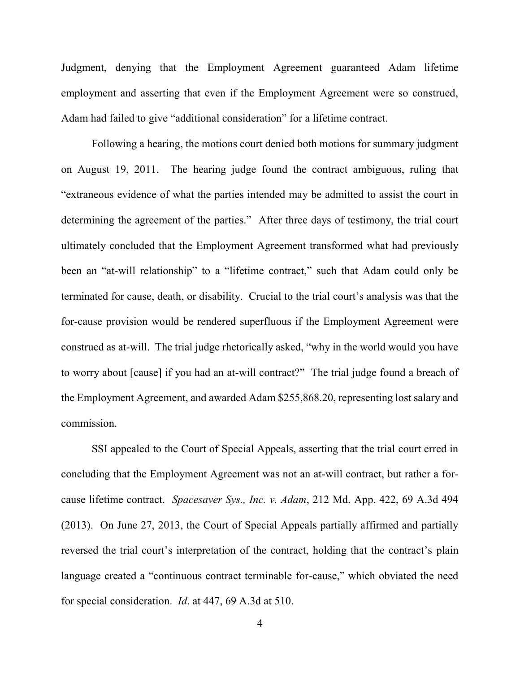Judgment, denying that the Employment Agreement guaranteed Adam lifetime employment and asserting that even if the Employment Agreement were so construed, Adam had failed to give "additional consideration" for a lifetime contract.

Following a hearing, the motions court denied both motions for summary judgment on August 19, 2011. The hearing judge found the contract ambiguous, ruling that "extraneous evidence of what the parties intended may be admitted to assist the court in determining the agreement of the parties." After three days of testimony, the trial court ultimately concluded that the Employment Agreement transformed what had previously been an "at-will relationship" to a "lifetime contract," such that Adam could only be terminated for cause, death, or disability. Crucial to the trial court's analysis was that the for-cause provision would be rendered superfluous if the Employment Agreement were construed as at-will. The trial judge rhetorically asked, "why in the world would you have to worry about [cause] if you had an at-will contract?" The trial judge found a breach of the Employment Agreement, and awarded Adam \$255,868.20, representing lost salary and commission.

SSI appealed to the Court of Special Appeals, asserting that the trial court erred in concluding that the Employment Agreement was not an at-will contract, but rather a forcause lifetime contract. *Spacesaver Sys., Inc. v. Adam*, 212 Md. App. 422, 69 A.3d 494 (2013). On June 27, 2013, the Court of Special Appeals partially affirmed and partially reversed the trial court's interpretation of the contract, holding that the contract's plain language created a "continuous contract terminable for-cause," which obviated the need for special consideration. *Id*. at 447, 69 A.3d at 510.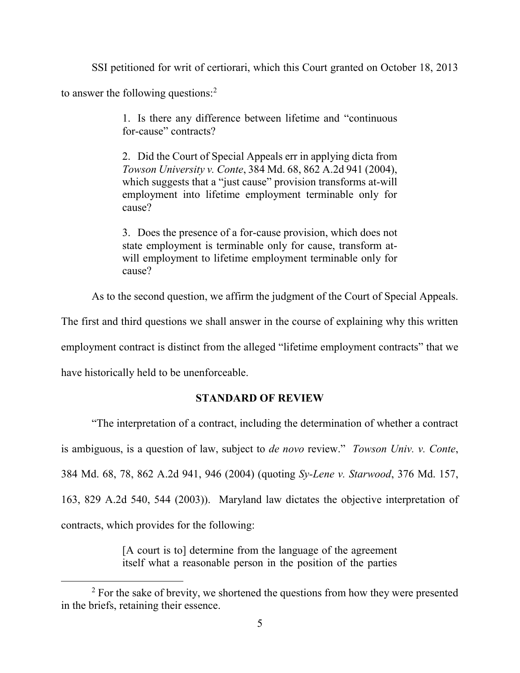SSI petitioned for writ of certiorari, which this Court granted on October 18, 2013

to answer the following questions:<sup>2</sup>

1. Is there any difference between lifetime and "continuous for-cause" contracts?

2. Did the Court of Special Appeals err in applying dicta from *Towson University v. Conte*, 384 Md. 68, 862 A.2d 941 (2004), which suggests that a "just cause" provision transforms at-will employment into lifetime employment terminable only for cause?

3. Does the presence of a for-cause provision, which does not state employment is terminable only for cause, transform atwill employment to lifetime employment terminable only for cause?

As to the second question, we affirm the judgment of the Court of Special Appeals.

The first and third questions we shall answer in the course of explaining why this written

employment contract is distinct from the alleged "lifetime employment contracts" that we

have historically held to be unenforceable.

 $\overline{a}$ 

## **STANDARD OF REVIEW**

"The interpretation of a contract, including the determination of whether a contract is ambiguous, is a question of law, subject to *de novo* review." *Towson Univ. v. Conte*, 384 Md. 68, 78, 862 A.2d 941, 946 (2004) (quoting *Sy-Lene v. Starwood*, 376 Md. 157, 163, 829 A.2d 540, 544 (2003)). Maryland law dictates the objective interpretation of contracts, which provides for the following:

> [A court is to] determine from the language of the agreement itself what a reasonable person in the position of the parties

<sup>&</sup>lt;sup>2</sup> For the sake of brevity, we shortened the questions from how they were presented in the briefs, retaining their essence.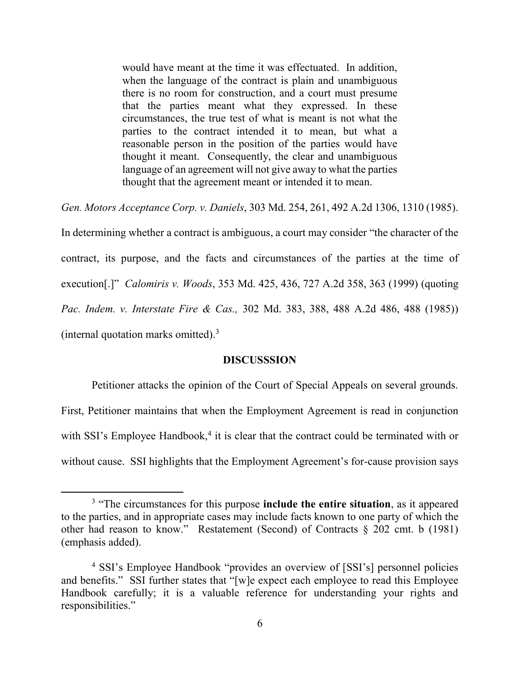would have meant at the time it was effectuated. In addition, when the language of the contract is plain and unambiguous there is no room for construction, and a court must presume that the parties meant what they expressed. In these circumstances, the true test of what is meant is not what the parties to the contract intended it to mean, but what a reasonable person in the position of the parties would have thought it meant. Consequently, the clear and unambiguous language of an agreement will not give away to what the parties thought that the agreement meant or intended it to mean.

*Gen. Motors Acceptance Corp. v. Daniels*, 303 Md. 254, 261, 492 A.2d 1306, 1310 (1985).

In determining whether a contract is ambiguous, a court may consider "the character of the contract, its purpose, and the facts and circumstances of the parties at the time of execution[.]" *Calomiris v. Woods*, 353 Md. 425, 436, 727 A.2d 358, 363 (1999) (quoting *Pac. Indem. v. Interstate Fire & Cas.,* 302 Md. 383, 388, 488 A.2d 486, 488 (1985)) (internal quotation marks omitted). 3

#### **DISCUSSSION**

Petitioner attacks the opinion of the Court of Special Appeals on several grounds. First, Petitioner maintains that when the Employment Agreement is read in conjunction with SSI's Employee Handbook, $4$  it is clear that the contract could be terminated with or without cause. SSI highlights that the Employment Agreement's for-cause provision says

<sup>&</sup>lt;sup>3</sup> "The circumstances for this purpose **include the entire situation**, as it appeared to the parties, and in appropriate cases may include facts known to one party of which the other had reason to know." Restatement (Second) of Contracts § 202 cmt. b (1981) (emphasis added).

<sup>4</sup> SSI's Employee Handbook "provides an overview of [SSI's] personnel policies and benefits." SSI further states that "[w]e expect each employee to read this Employee Handbook carefully; it is a valuable reference for understanding your rights and responsibilities."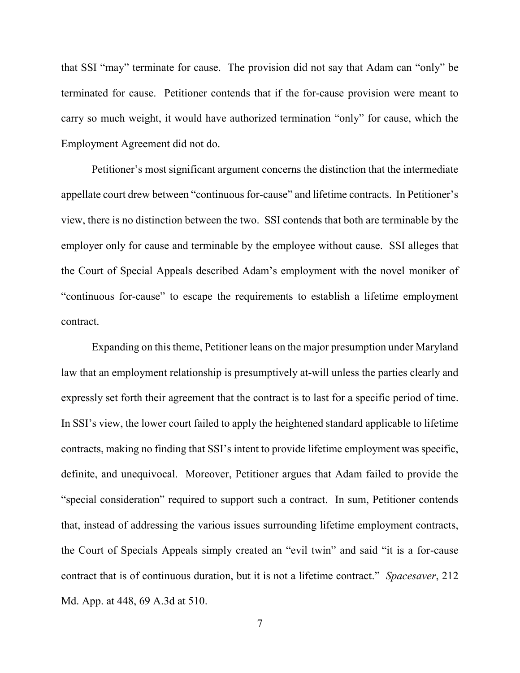that SSI "may" terminate for cause. The provision did not say that Adam can "only" be terminated for cause. Petitioner contends that if the for-cause provision were meant to carry so much weight, it would have authorized termination "only" for cause, which the Employment Agreement did not do.

Petitioner's most significant argument concerns the distinction that the intermediate appellate court drew between "continuous for-cause" and lifetime contracts. In Petitioner's view, there is no distinction between the two. SSI contends that both are terminable by the employer only for cause and terminable by the employee without cause. SSI alleges that the Court of Special Appeals described Adam's employment with the novel moniker of "continuous for-cause" to escape the requirements to establish a lifetime employment contract.

Expanding on this theme, Petitioner leans on the major presumption under Maryland law that an employment relationship is presumptively at-will unless the parties clearly and expressly set forth their agreement that the contract is to last for a specific period of time. In SSI's view, the lower court failed to apply the heightened standard applicable to lifetime contracts, making no finding that SSI's intent to provide lifetime employment was specific, definite, and unequivocal. Moreover, Petitioner argues that Adam failed to provide the "special consideration" required to support such a contract. In sum, Petitioner contends that, instead of addressing the various issues surrounding lifetime employment contracts, the Court of Specials Appeals simply created an "evil twin" and said "it is a for-cause contract that is of continuous duration, but it is not a lifetime contract." *Spacesaver*, 212 Md. App. at 448, 69 A.3d at 510.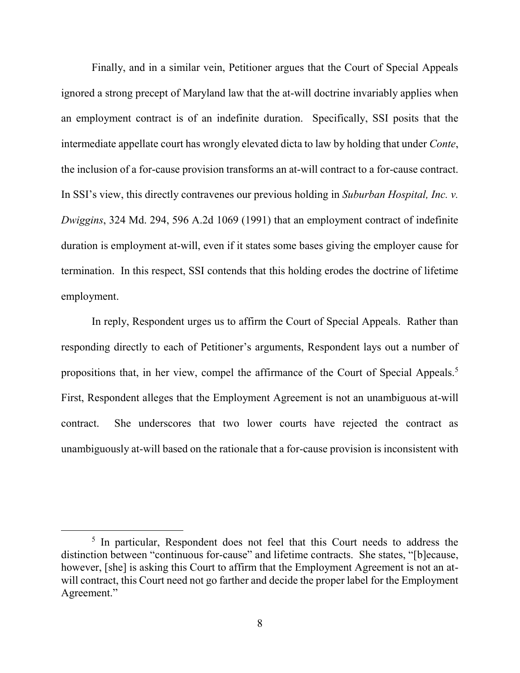Finally, and in a similar vein, Petitioner argues that the Court of Special Appeals ignored a strong precept of Maryland law that the at-will doctrine invariably applies when an employment contract is of an indefinite duration. Specifically, SSI posits that the intermediate appellate court has wrongly elevated dicta to law by holding that under *Conte*, the inclusion of a for-cause provision transforms an at-will contract to a for-cause contract. In SSI's view, this directly contravenes our previous holding in *Suburban Hospital, Inc. v. Dwiggins*, 324 Md. 294, 596 A.2d 1069 (1991) that an employment contract of indefinite duration is employment at-will, even if it states some bases giving the employer cause for termination. In this respect, SSI contends that this holding erodes the doctrine of lifetime employment.

In reply, Respondent urges us to affirm the Court of Special Appeals. Rather than responding directly to each of Petitioner's arguments, Respondent lays out a number of propositions that, in her view, compel the affirmance of the Court of Special Appeals.<sup>5</sup> First, Respondent alleges that the Employment Agreement is not an unambiguous at-will contract. She underscores that two lower courts have rejected the contract as unambiguously at-will based on the rationale that a for-cause provision is inconsistent with

<sup>&</sup>lt;sup>5</sup> In particular, Respondent does not feel that this Court needs to address the distinction between "continuous for-cause" and lifetime contracts. She states, "[b]ecause, however, [she] is asking this Court to affirm that the Employment Agreement is not an atwill contract, this Court need not go farther and decide the proper label for the Employment Agreement."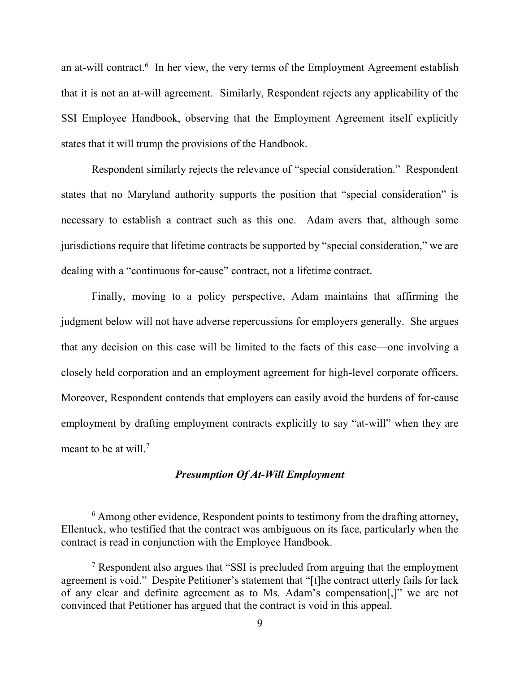an at-will contract.<sup>6</sup> In her view, the very terms of the Employment Agreement establish that it is not an at-will agreement. Similarly, Respondent rejects any applicability of the SSI Employee Handbook, observing that the Employment Agreement itself explicitly states that it will trump the provisions of the Handbook.

Respondent similarly rejects the relevance of "special consideration." Respondent states that no Maryland authority supports the position that "special consideration" is necessary to establish a contract such as this one. Adam avers that, although some jurisdictions require that lifetime contracts be supported by "special consideration," we are dealing with a "continuous for-cause" contract, not a lifetime contract.

Finally, moving to a policy perspective, Adam maintains that affirming the judgment below will not have adverse repercussions for employers generally. She argues that any decision on this case will be limited to the facts of this case—one involving a closely held corporation and an employment agreement for high-level corporate officers. Moreover, Respondent contends that employers can easily avoid the burdens of for-cause employment by drafting employment contracts explicitly to say "at-will" when they are meant to be at will.<sup>7</sup>

### *Presumption Of At-Will Employment*

<sup>&</sup>lt;sup>6</sup> Among other evidence, Respondent points to testimony from the drafting attorney, Ellentuck, who testified that the contract was ambiguous on its face, particularly when the contract is read in conjunction with the Employee Handbook.

<sup>&</sup>lt;sup>7</sup> Respondent also argues that "SSI is precluded from arguing that the employment agreement is void." Despite Petitioner's statement that "[t]he contract utterly fails for lack of any clear and definite agreement as to Ms. Adam's compensation[,]" we are not convinced that Petitioner has argued that the contract is void in this appeal.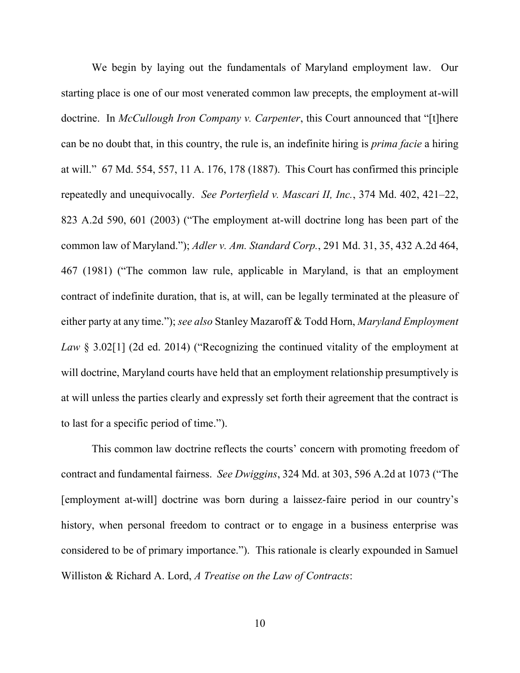We begin by laying out the fundamentals of Maryland employment law. Our starting place is one of our most venerated common law precepts, the employment at-will doctrine. In *McCullough Iron Company v. Carpenter*, this Court announced that "[t]here can be no doubt that, in this country, the rule is, an indefinite hiring is *prima facie* a hiring at will." 67 Md. 554, 557, 11 A. 176, 178 (1887). This Court has confirmed this principle repeatedly and unequivocally. *See Porterfield v. Mascari II, Inc.*, 374 Md. 402, 421–22, 823 A.2d 590, 601 (2003) ("The employment at-will doctrine long has been part of the common law of Maryland."); *Adler v. Am. Standard Corp.*, 291 Md. 31, 35, 432 A.2d 464, 467 (1981) ("The common law rule, applicable in Maryland, is that an employment contract of indefinite duration, that is, at will, can be legally terminated at the pleasure of either party at any time."); *see also* Stanley Mazaroff & Todd Horn, *Maryland Employment Law* § 3.02[1] (2d ed. 2014) ("Recognizing the continued vitality of the employment at will doctrine, Maryland courts have held that an employment relationship presumptively is at will unless the parties clearly and expressly set forth their agreement that the contract is to last for a specific period of time.").

This common law doctrine reflects the courts' concern with promoting freedom of contract and fundamental fairness. *See Dwiggins*, 324 Md. at 303, 596 A.2d at 1073 ("The [employment at-will] doctrine was born during a laissez-faire period in our country's history, when personal freedom to contract or to engage in a business enterprise was considered to be of primary importance."). This rationale is clearly expounded in Samuel Williston & Richard A. Lord, *A Treatise on the Law of Contracts*: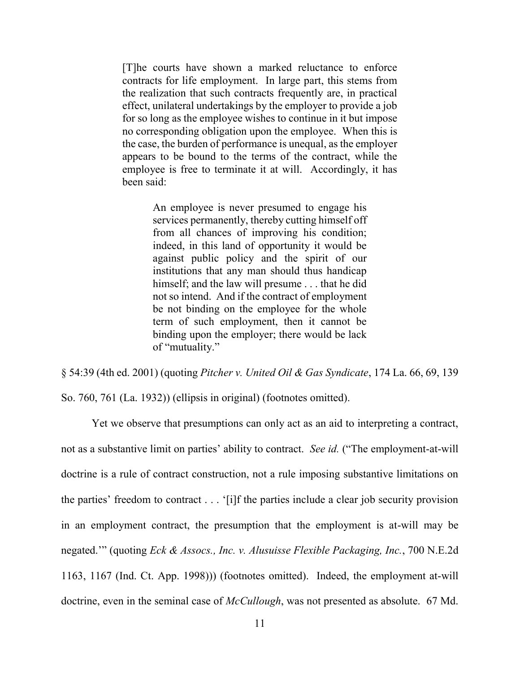[T]he courts have shown a marked reluctance to enforce contracts for life employment. In large part, this stems from the realization that such contracts frequently are, in practical effect, unilateral undertakings by the employer to provide a job for so long as the employee wishes to continue in it but impose no corresponding obligation upon the employee. When this is the case, the burden of performance is unequal, as the employer appears to be bound to the terms of the contract, while the employee is free to terminate it at will. Accordingly, it has been said:

> An employee is never presumed to engage his services permanently, thereby cutting himself off from all chances of improving his condition; indeed, in this land of opportunity it would be against public policy and the spirit of our institutions that any man should thus handicap himself; and the law will presume . . . that he did not so intend. And if the contract of employment be not binding on the employee for the whole term of such employment, then it cannot be binding upon the employer; there would be lack of "mutuality."

§ 54:39 (4th ed. 2001) (quoting *Pitcher v. United Oil & Gas Syndicate*, 174 La. 66, 69, 139 So. 760, 761 (La. 1932)) (ellipsis in original) (footnotes omitted).

Yet we observe that presumptions can only act as an aid to interpreting a contract, not as a substantive limit on parties' ability to contract. *See id.* ("The employment-at-will doctrine is a rule of contract construction, not a rule imposing substantive limitations on the parties' freedom to contract . . . '[i]f the parties include a clear job security provision in an employment contract, the presumption that the employment is at-will may be negated.'" (quoting *Eck & Assocs., Inc. v. Alusuisse Flexible Packaging, Inc.*, 700 N.E.2d 1163, 1167 (Ind. Ct. App. 1998))) (footnotes omitted). Indeed, the employment at-will doctrine, even in the seminal case of *McCullough*, was not presented as absolute. 67 Md.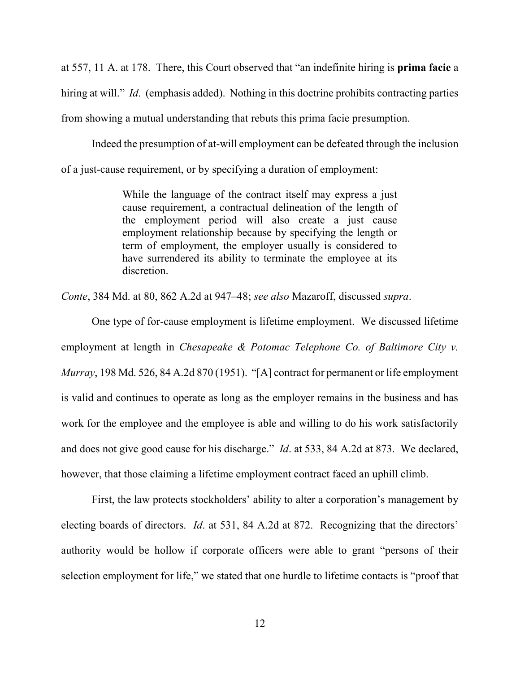at 557, 11 A. at 178. There, this Court observed that "an indefinite hiring is **prima facie** a hiring at will." *Id.* (emphasis added). Nothing in this doctrine prohibits contracting parties from showing a mutual understanding that rebuts this prima facie presumption.

Indeed the presumption of at-will employment can be defeated through the inclusion of a just-cause requirement, or by specifying a duration of employment:

> While the language of the contract itself may express a just cause requirement, a contractual delineation of the length of the employment period will also create a just cause employment relationship because by specifying the length or term of employment, the employer usually is considered to have surrendered its ability to terminate the employee at its discretion.

*Conte*, 384 Md. at 80, 862 A.2d at 947–48; *see also* Mazaroff, discussed *supra*.

One type of for-cause employment is lifetime employment. We discussed lifetime employment at length in *Chesapeake & Potomac Telephone Co. of Baltimore City v. Murray*, 198 Md. 526, 84 A.2d 870 (1951). "[A] contract for permanent or life employment is valid and continues to operate as long as the employer remains in the business and has work for the employee and the employee is able and willing to do his work satisfactorily and does not give good cause for his discharge." *Id*. at 533, 84 A.2d at 873. We declared, however, that those claiming a lifetime employment contract faced an uphill climb.

First, the law protects stockholders' ability to alter a corporation's management by electing boards of directors. *Id*. at 531, 84 A.2d at 872. Recognizing that the directors' authority would be hollow if corporate officers were able to grant "persons of their selection employment for life," we stated that one hurdle to lifetime contacts is "proof that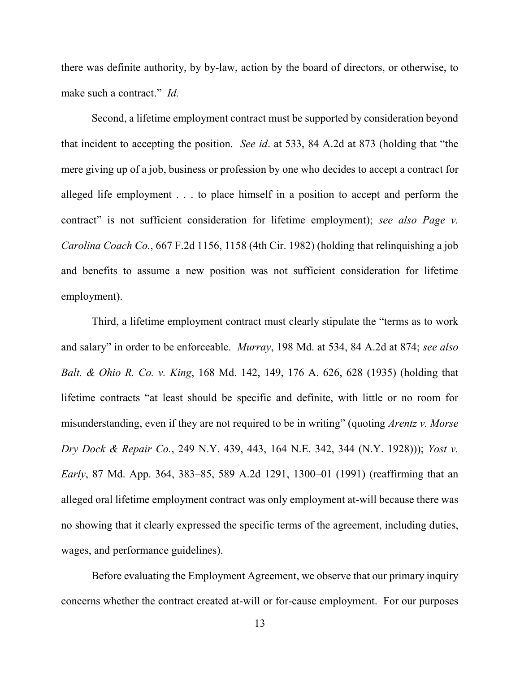there was definite authority, by by-law, action by the board of directors, or otherwise, to make such a contract." *Id.*

Second, a lifetime employment contract must be supported by consideration beyond that incident to accepting the position. *See id*. at 533, 84 A.2d at 873 (holding that "the mere giving up of a job, business or profession by one who decides to accept a contract for alleged life employment . . . to place himself in a position to accept and perform the contract" is not sufficient consideration for lifetime employment); *see also Page v. Carolina Coach Co.*, 667 F.2d 1156, 1158 (4th Cir. 1982) (holding that relinquishing a job and benefits to assume a new position was not sufficient consideration for lifetime employment).

Third, a lifetime employment contract must clearly stipulate the "terms as to work and salary" in order to be enforceable. *Murray*, 198 Md. at 534, 84 A.2d at 874; *see also Balt. & Ohio R. Co. v. King*, 168 Md. 142, 149, 176 A. 626, 628 (1935) (holding that lifetime contracts "at least should be specific and definite, with little or no room for misunderstanding, even if they are not required to be in writing" (quoting *Arentz v. Morse Dry Dock & Repair Co.*, 249 N.Y. 439, 443, 164 N.E. 342, 344 (N.Y. 1928))); *Yost v. Early*, 87 Md. App. 364, 383–85, 589 A.2d 1291, 1300–01 (1991) (reaffirming that an alleged oral lifetime employment contract was only employment at-will because there was no showing that it clearly expressed the specific terms of the agreement, including duties, wages, and performance guidelines).

Before evaluating the Employment Agreement, we observe that our primary inquiry concerns whether the contract created at-will or for-cause employment. For our purposes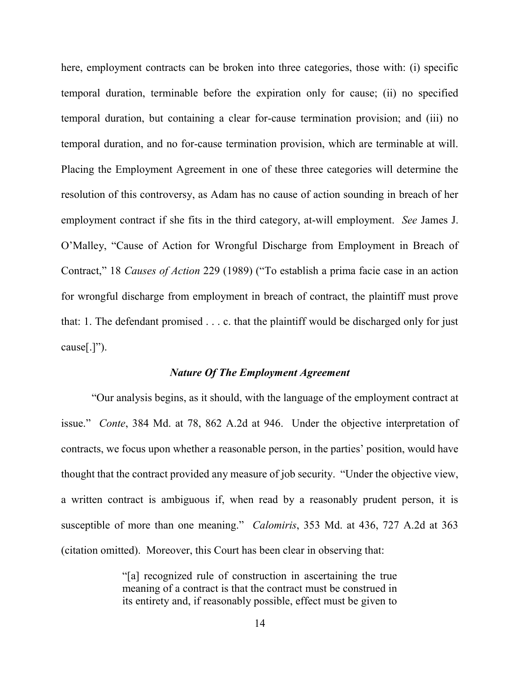here, employment contracts can be broken into three categories, those with: (i) specific temporal duration, terminable before the expiration only for cause; (ii) no specified temporal duration, but containing a clear for-cause termination provision; and (iii) no temporal duration, and no for-cause termination provision, which are terminable at will. Placing the Employment Agreement in one of these three categories will determine the resolution of this controversy, as Adam has no cause of action sounding in breach of her employment contract if she fits in the third category, at-will employment. *See* James J. O'Malley, "Cause of Action for Wrongful Discharge from Employment in Breach of Contract," 18 *Causes of Action* 229 (1989) ("To establish a prima facie case in an action for wrongful discharge from employment in breach of contract, the plaintiff must prove that: 1. The defendant promised . . . c. that the plaintiff would be discharged only for just cause[.]").

#### *Nature Of The Employment Agreement*

"Our analysis begins, as it should, with the language of the employment contract at issue." *Conte*, 384 Md. at 78, 862 A.2d at 946. Under the objective interpretation of contracts, we focus upon whether a reasonable person, in the parties' position, would have thought that the contract provided any measure of job security. "Under the objective view, a written contract is ambiguous if, when read by a reasonably prudent person, it is susceptible of more than one meaning." *Calomiris*, 353 Md. at 436, 727 A.2d at 363 (citation omitted). Moreover, this Court has been clear in observing that:

> "[a] recognized rule of construction in ascertaining the true meaning of a contract is that the contract must be construed in its entirety and, if reasonably possible, effect must be given to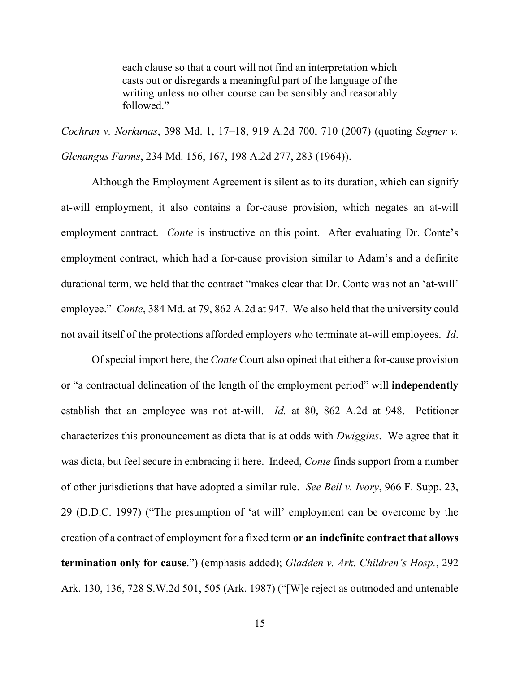each clause so that a court will not find an interpretation which casts out or disregards a meaningful part of the language of the writing unless no other course can be sensibly and reasonably followed."

*Cochran v. Norkunas*, 398 Md. 1, 17–18, 919 A.2d 700, 710 (2007) (quoting *Sagner v. Glenangus Farms*, 234 Md. 156, 167, 198 A.2d 277, 283 (1964)).

Although the Employment Agreement is silent as to its duration, which can signify at-will employment, it also contains a for-cause provision, which negates an at-will employment contract. *Conte* is instructive on this point. After evaluating Dr. Conte's employment contract, which had a for-cause provision similar to Adam's and a definite durational term, we held that the contract "makes clear that Dr. Conte was not an 'at-will' employee." *Conte*, 384 Md. at 79, 862 A.2d at 947. We also held that the university could not avail itself of the protections afforded employers who terminate at-will employees. *Id*.

Of special import here, the *Conte* Court also opined that either a for-cause provision or "a contractual delineation of the length of the employment period" will **independently** establish that an employee was not at-will. *Id.* at 80, 862 A.2d at 948. Petitioner characterizes this pronouncement as dicta that is at odds with *Dwiggins*. We agree that it was dicta, but feel secure in embracing it here. Indeed, *Conte* finds support from a number of other jurisdictions that have adopted a similar rule. *See Bell v. Ivory*, 966 F. Supp. 23, 29 (D.D.C. 1997) ("The presumption of 'at will' employment can be overcome by the creation of a contract of employment for a fixed term **or an indefinite contract that allows termination only for cause**.") (emphasis added); *Gladden v. Ark. Children's Hosp.*, 292 Ark. 130, 136, 728 S.W.2d 501, 505 (Ark. 1987) ("[W]e reject as outmoded and untenable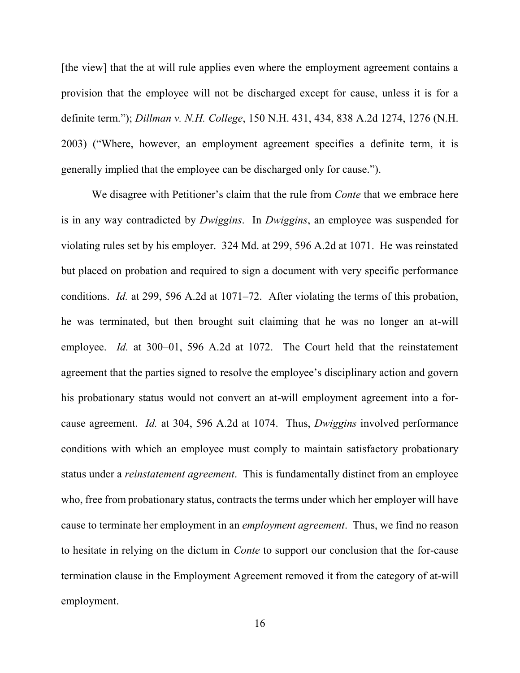[the view] that the at will rule applies even where the employment agreement contains a provision that the employee will not be discharged except for cause, unless it is for a definite term."); *Dillman v. N.H. College*, 150 N.H. 431, 434, 838 A.2d 1274, 1276 (N.H. 2003) ("Where, however, an employment agreement specifies a definite term, it is generally implied that the employee can be discharged only for cause.").

We disagree with Petitioner's claim that the rule from *Conte* that we embrace here is in any way contradicted by *Dwiggins*. In *Dwiggins*, an employee was suspended for violating rules set by his employer. 324 Md. at 299, 596 A.2d at 1071. He was reinstated but placed on probation and required to sign a document with very specific performance conditions. *Id.* at 299, 596 A.2d at 1071–72. After violating the terms of this probation, he was terminated, but then brought suit claiming that he was no longer an at-will employee. *Id.* at 300–01, 596 A.2d at 1072. The Court held that the reinstatement agreement that the parties signed to resolve the employee's disciplinary action and govern his probationary status would not convert an at-will employment agreement into a forcause agreement. *Id.* at 304, 596 A.2d at 1074. Thus, *Dwiggins* involved performance conditions with which an employee must comply to maintain satisfactory probationary status under a *reinstatement agreement*. This is fundamentally distinct from an employee who, free from probationary status, contracts the terms under which her employer will have cause to terminate her employment in an *employment agreement*. Thus, we find no reason to hesitate in relying on the dictum in *Conte* to support our conclusion that the for-cause termination clause in the Employment Agreement removed it from the category of at-will employment.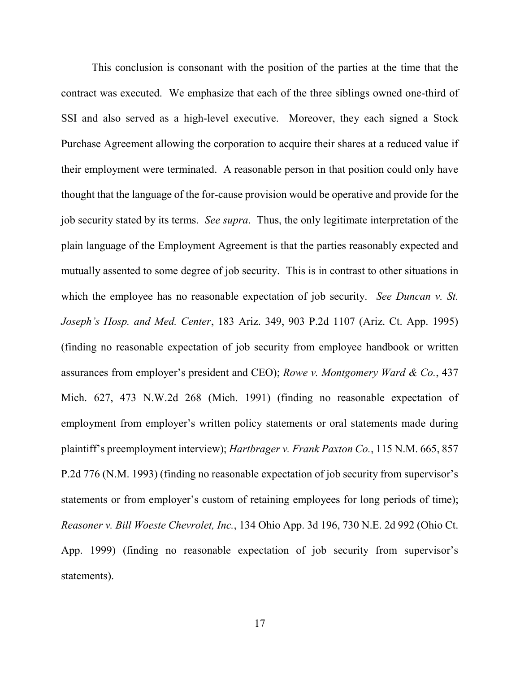This conclusion is consonant with the position of the parties at the time that the contract was executed. We emphasize that each of the three siblings owned one-third of SSI and also served as a high-level executive. Moreover, they each signed a Stock Purchase Agreement allowing the corporation to acquire their shares at a reduced value if their employment were terminated. A reasonable person in that position could only have thought that the language of the for-cause provision would be operative and provide for the job security stated by its terms. *See supra*. Thus, the only legitimate interpretation of the plain language of the Employment Agreement is that the parties reasonably expected and mutually assented to some degree of job security.This is in contrast to other situations in which the employee has no reasonable expectation of job security. *See Duncan v. St. Joseph's Hosp. and Med. Center*, 183 Ariz. 349, 903 P.2d 1107 (Ariz. Ct. App. 1995) (finding no reasonable expectation of job security from employee handbook or written assurances from employer's president and CEO); *Rowe v. Montgomery Ward & Co.*, 437 Mich. 627, 473 N.W.2d 268 (Mich. 1991) (finding no reasonable expectation of employment from employer's written policy statements or oral statements made during plaintiff's preemployment interview); *Hartbrager v. Frank Paxton Co.*, 115 N.M. 665, 857 P.2d 776 (N.M. 1993) (finding no reasonable expectation of job security from supervisor's statements or from employer's custom of retaining employees for long periods of time); *Reasoner v. Bill Woeste Chevrolet, Inc.*, 134 Ohio App. 3d 196, 730 N.E. 2d 992 (Ohio Ct. App. 1999) (finding no reasonable expectation of job security from supervisor's statements).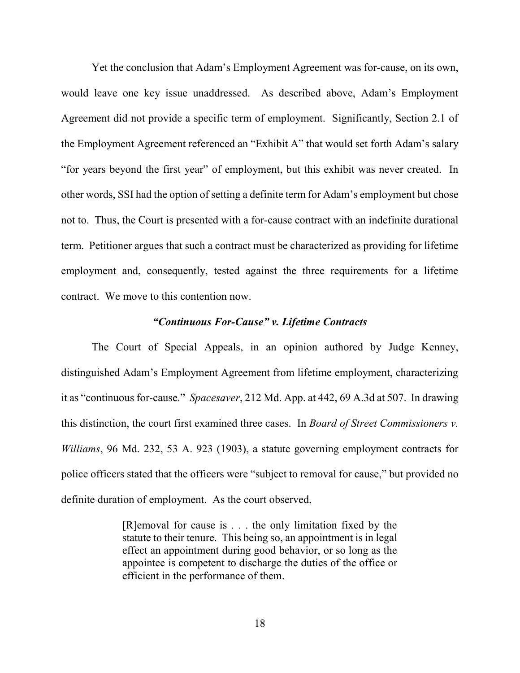Yet the conclusion that Adam's Employment Agreement was for-cause, on its own, would leave one key issue unaddressed. As described above, Adam's Employment Agreement did not provide a specific term of employment. Significantly, Section 2.1 of the Employment Agreement referenced an "Exhibit A" that would set forth Adam's salary "for years beyond the first year" of employment, but this exhibit was never created. In other words, SSI had the option of setting a definite term for Adam's employment but chose not to. Thus, the Court is presented with a for-cause contract with an indefinite durational term. Petitioner argues that such a contract must be characterized as providing for lifetime employment and, consequently, tested against the three requirements for a lifetime contract. We move to this contention now.

### *"Continuous For-Cause" v. Lifetime Contracts*

The Court of Special Appeals, in an opinion authored by Judge Kenney, distinguished Adam's Employment Agreement from lifetime employment, characterizing it as "continuous for-cause." *Spacesaver*, 212 Md. App. at 442, 69 A.3d at 507. In drawing this distinction, the court first examined three cases. In *Board of Street Commissioners v. Williams*, 96 Md. 232, 53 A. 923 (1903), a statute governing employment contracts for police officers stated that the officers were "subject to removal for cause," but provided no definite duration of employment. As the court observed,

> [R]emoval for cause is . . . the only limitation fixed by the statute to their tenure. This being so, an appointment is in legal effect an appointment during good behavior, or so long as the appointee is competent to discharge the duties of the office or efficient in the performance of them.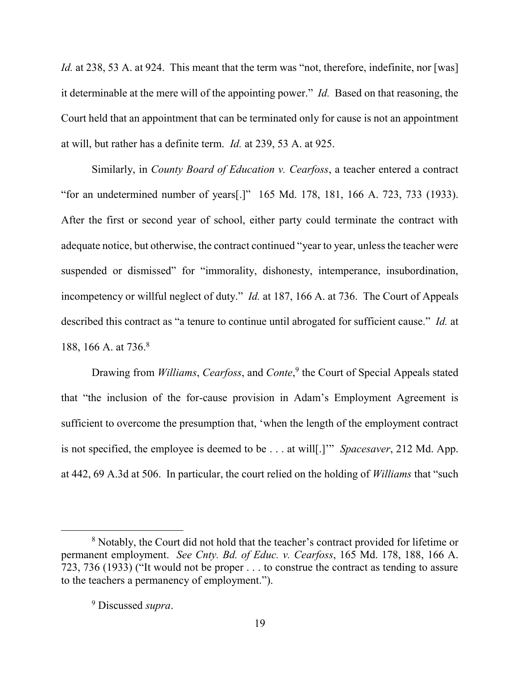*Id.* at 238, 53 A. at 924. This meant that the term was "not, therefore, indefinite, nor [was] it determinable at the mere will of the appointing power." *Id.* Based on that reasoning, the Court held that an appointment that can be terminated only for cause is not an appointment at will, but rather has a definite term. *Id.* at 239, 53 A. at 925.

Similarly, in *County Board of Education v. Cearfoss*, a teacher entered a contract "for an undetermined number of years[.]" 165 Md. 178, 181, 166 A. 723, 733 (1933). After the first or second year of school, either party could terminate the contract with adequate notice, but otherwise, the contract continued "year to year, unless the teacher were suspended or dismissed" for "immorality, dishonesty, intemperance, insubordination, incompetency or willful neglect of duty." *Id.* at 187, 166 A. at 736. The Court of Appeals described this contract as "a tenure to continue until abrogated for sufficient cause." *Id.* at 188, 166 A. at 736.<sup>8</sup>

Drawing from *Williams*, *Cearfoss*, and *Conte*, 9 the Court of Special Appeals stated that "the inclusion of the for-cause provision in Adam's Employment Agreement is sufficient to overcome the presumption that, 'when the length of the employment contract is not specified, the employee is deemed to be . . . at will[.]'" *Spacesaver*, 212 Md. App. at 442, 69 A.3d at 506. In particular, the court relied on the holding of *Williams* that "such

<sup>&</sup>lt;sup>8</sup> Notably, the Court did not hold that the teacher's contract provided for lifetime or permanent employment. *See Cnty. Bd. of Educ. v. Cearfoss*, 165 Md. 178, 188, 166 A. 723, 736 (1933) ("It would not be proper . . . to construe the contract as tending to assure to the teachers a permanency of employment.").

<sup>9</sup> Discussed *supra*.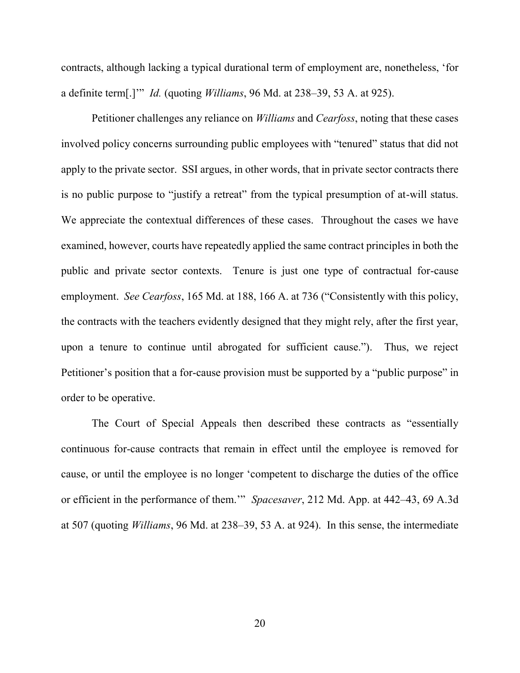contracts, although lacking a typical durational term of employment are, nonetheless, 'for a definite term[.]'" *Id.* (quoting *Williams*, 96 Md. at 238–39, 53 A. at 925).

Petitioner challenges any reliance on *Williams* and *Cearfoss*, noting that these cases involved policy concerns surrounding public employees with "tenured" status that did not apply to the private sector. SSI argues, in other words, that in private sector contracts there is no public purpose to "justify a retreat" from the typical presumption of at-will status. We appreciate the contextual differences of these cases. Throughout the cases we have examined, however, courts have repeatedly applied the same contract principles in both the public and private sector contexts. Tenure is just one type of contractual for-cause employment. *See Cearfoss*, 165 Md. at 188, 166 A. at 736 ("Consistently with this policy, the contracts with the teachers evidently designed that they might rely, after the first year, upon a tenure to continue until abrogated for sufficient cause."). Thus, we reject Petitioner's position that a for-cause provision must be supported by a "public purpose" in order to be operative.

The Court of Special Appeals then described these contracts as "essentially continuous for-cause contracts that remain in effect until the employee is removed for cause, or until the employee is no longer 'competent to discharge the duties of the office or efficient in the performance of them.'" *Spacesaver*, 212 Md. App. at 442–43, 69 A.3d at 507 (quoting *Williams*, 96 Md. at 238–39, 53 A. at 924). In this sense, the intermediate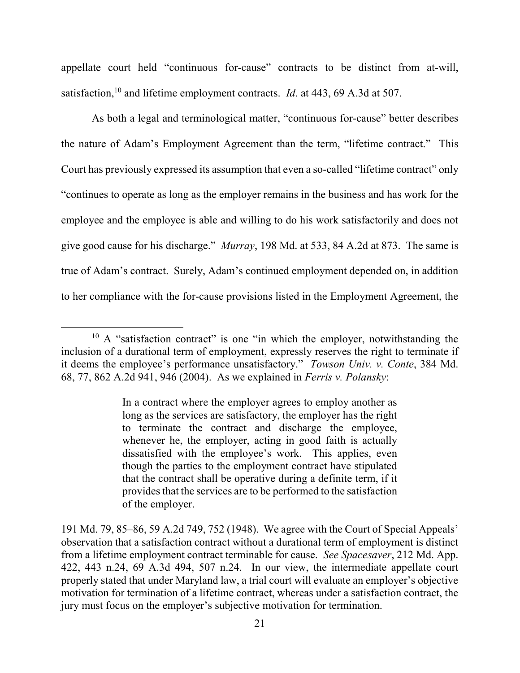appellate court held "continuous for-cause" contracts to be distinct from at-will, satisfaction,<sup>10</sup> and lifetime employment contracts. *Id.* at 443, 69 A.3d at 507.

As both a legal and terminological matter, "continuous for-cause" better describes the nature of Adam's Employment Agreement than the term, "lifetime contract." This Court has previously expressed its assumption that even a so-called "lifetime contract" only "continues to operate as long as the employer remains in the business and has work for the employee and the employee is able and willing to do his work satisfactorily and does not give good cause for his discharge." *Murray*, 198 Md. at 533, 84 A.2d at 873. The same is true of Adam's contract. Surely, Adam's continued employment depended on, in addition to her compliance with the for-cause provisions listed in the Employment Agreement, the

In a contract where the employer agrees to employ another as long as the services are satisfactory, the employer has the right to terminate the contract and discharge the employee, whenever he, the employer, acting in good faith is actually dissatisfied with the employee's work. This applies, even though the parties to the employment contract have stipulated that the contract shall be operative during a definite term, if it provides that the services are to be performed to the satisfaction of the employer.

 $\overline{a}$  $10$  A "satisfaction contract" is one "in which the employer, notwithstanding the inclusion of a durational term of employment, expressly reserves the right to terminate if it deems the employee's performance unsatisfactory." *Towson Univ. v. Conte*, 384 Md. 68, 77, 862 A.2d 941, 946 (2004). As we explained in *Ferris v. Polansky*:

<sup>191</sup> Md. 79, 85–86, 59 A.2d 749, 752 (1948). We agree with the Court of Special Appeals' observation that a satisfaction contract without a durational term of employment is distinct from a lifetime employment contract terminable for cause. *See Spacesaver*, 212 Md. App. 422, 443 n.24, 69 A.3d 494, 507 n.24. In our view, the intermediate appellate court properly stated that under Maryland law, a trial court will evaluate an employer's objective motivation for termination of a lifetime contract, whereas under a satisfaction contract, the jury must focus on the employer's subjective motivation for termination.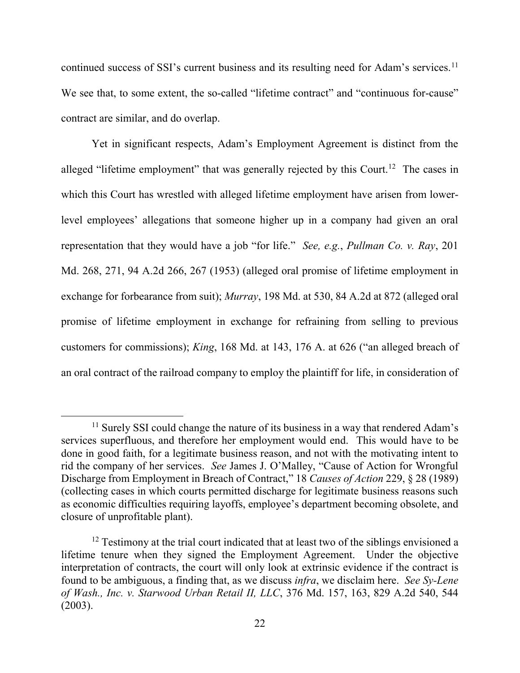continued success of SSI's current business and its resulting need for Adam's services.<sup>11</sup> We see that, to some extent, the so-called "lifetime contract" and "continuous for-cause" contract are similar, and do overlap.

Yet in significant respects, Adam's Employment Agreement is distinct from the alleged "lifetime employment" that was generally rejected by this Court.<sup>12</sup> The cases in which this Court has wrestled with alleged lifetime employment have arisen from lowerlevel employees' allegations that someone higher up in a company had given an oral representation that they would have a job "for life." *See, e.g.*, *Pullman Co. v. Ray*, 201 Md. 268, 271, 94 A.2d 266, 267 (1953) (alleged oral promise of lifetime employment in exchange for forbearance from suit); *Murray*, 198 Md. at 530, 84 A.2d at 872 (alleged oral promise of lifetime employment in exchange for refraining from selling to previous customers for commissions); *King*, 168 Md. at 143, 176 A. at 626 ("an alleged breach of an oral contract of the railroad company to employ the plaintiff for life, in consideration of

<sup>&</sup>lt;sup>11</sup> Surely SSI could change the nature of its business in a way that rendered Adam's services superfluous, and therefore her employment would end. This would have to be done in good faith, for a legitimate business reason, and not with the motivating intent to rid the company of her services. *See* James J. O'Malley, "Cause of Action for Wrongful Discharge from Employment in Breach of Contract," 18 *Causes of Action* 229, § 28 (1989) (collecting cases in which courts permitted discharge for legitimate business reasons such as economic difficulties requiring layoffs, employee's department becoming obsolete, and closure of unprofitable plant).

 $12$  Testimony at the trial court indicated that at least two of the siblings envisioned a lifetime tenure when they signed the Employment Agreement. Under the objective interpretation of contracts, the court will only look at extrinsic evidence if the contract is found to be ambiguous, a finding that, as we discuss *infra*, we disclaim here. *See Sy-Lene of Wash., Inc. v. Starwood Urban Retail II, LLC*, 376 Md. 157, 163, 829 A.2d 540, 544 (2003).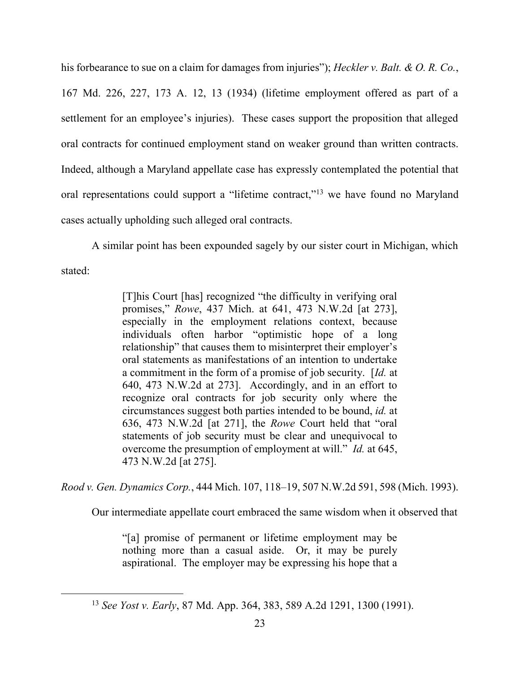his forbearance to sue on a claim for damages from injuries"); *Heckler v. Balt. & O. R. Co.*,

167 Md. 226, 227, 173 A. 12, 13 (1934) (lifetime employment offered as part of a settlement for an employee's injuries). These cases support the proposition that alleged oral contracts for continued employment stand on weaker ground than written contracts. Indeed, although a Maryland appellate case has expressly contemplated the potential that oral representations could support a "lifetime contract,"<sup>13</sup> we have found no Maryland cases actually upholding such alleged oral contracts.

A similar point has been expounded sagely by our sister court in Michigan, which stated:

> [T]his Court [has] recognized "the difficulty in verifying oral promises," *Rowe*, 437 Mich. at 641, 473 N.W.2d [at 273], especially in the employment relations context, because individuals often harbor "optimistic hope of a long relationship" that causes them to misinterpret their employer's oral statements as manifestations of an intention to undertake a commitment in the form of a promise of job security. [*Id.* at 640, 473 N.W.2d at 273]. Accordingly, and in an effort to recognize oral contracts for job security only where the circumstances suggest both parties intended to be bound, *id.* at 636, 473 N.W.2d [at 271], the *Rowe* Court held that "oral statements of job security must be clear and unequivocal to overcome the presumption of employment at will." *Id.* at 645, 473 N.W.2d [at 275].

*Rood v. Gen. Dynamics Corp.*, 444 Mich. 107, 118–19, 507 N.W.2d 591, 598 (Mich. 1993).

Our intermediate appellate court embraced the same wisdom when it observed that

"[a] promise of permanent or lifetime employment may be nothing more than a casual aside. Or, it may be purely aspirational. The employer may be expressing his hope that a

<sup>13</sup> *See Yost v. Early*, 87 Md. App. 364, 383, 589 A.2d 1291, 1300 (1991).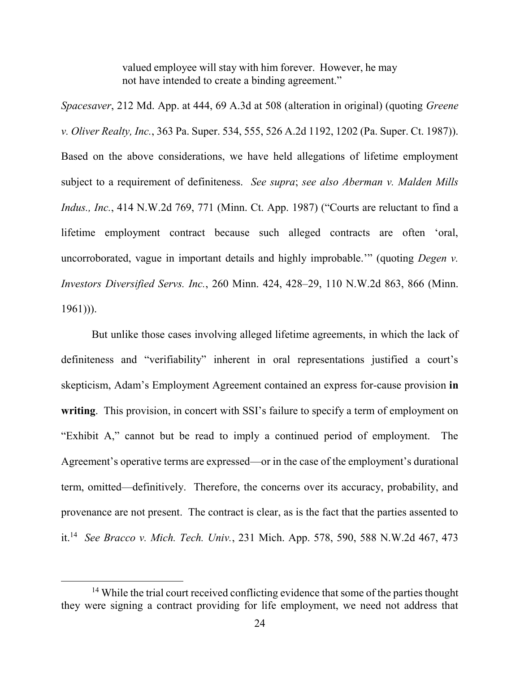valued employee will stay with him forever. However, he may not have intended to create a binding agreement."

*Spacesaver*, 212 Md. App. at 444, 69 A.3d at 508 (alteration in original) (quoting *Greene v. Oliver Realty, Inc.*, 363 Pa. Super. 534, 555, 526 A.2d 1192, 1202 (Pa. Super. Ct. 1987)). Based on the above considerations, we have held allegations of lifetime employment subject to a requirement of definiteness. *See supra*; *see also Aberman v. Malden Mills Indus., Inc.*, 414 N.W.2d 769, 771 (Minn. Ct. App. 1987) ("Courts are reluctant to find a lifetime employment contract because such alleged contracts are often 'oral, uncorroborated, vague in important details and highly improbable.'" (quoting *Degen v. Investors Diversified Servs. Inc.*, 260 Minn. 424, 428–29, 110 N.W.2d 863, 866 (Minn.  $1961)$ ).

But unlike those cases involving alleged lifetime agreements, in which the lack of definiteness and "verifiability" inherent in oral representations justified a court's skepticism, Adam's Employment Agreement contained an express for-cause provision **in**  writing. This provision, in concert with SSI's failure to specify a term of employment on "Exhibit A," cannot but be read to imply a continued period of employment. The Agreement's operative terms are expressed—or in the case of the employment's durational term, omitted—definitively. Therefore, the concerns over its accuracy, probability, and provenance are not present. The contract is clear, as is the fact that the parties assented to it.<sup>14</sup> *See Bracco v. Mich. Tech. Univ.*, 231 Mich. App. 578, 590, 588 N.W.2d 467, 473

<sup>&</sup>lt;sup>14</sup> While the trial court received conflicting evidence that some of the parties thought they were signing a contract providing for life employment, we need not address that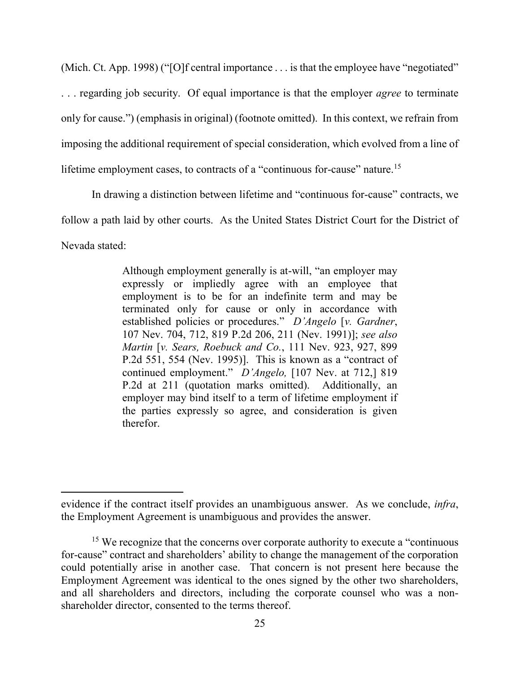(Mich. Ct. App. 1998) ("[O]f central importance . . . is that the employee have "negotiated" . . . regarding job security. Of equal importance is that the employer *agree* to terminate only for cause.") (emphasis in original) (footnote omitted). In this context, we refrain from imposing the additional requirement of special consideration, which evolved from a line of lifetime employment cases, to contracts of a "continuous for-cause" nature.<sup>15</sup>

In drawing a distinction between lifetime and "continuous for-cause" contracts, we follow a path laid by other courts. As the United States District Court for the District of Nevada stated:

> Although employment generally is at-will, "an employer may expressly or impliedly agree with an employee that employment is to be for an indefinite term and may be terminated only for cause or only in accordance with established policies or procedures." *D'Angelo* [*v. Gardner*, 107 Nev. 704, 712, 819 P.2d 206, 211 (Nev. 1991)]; *see also Martin* [*v. Sears, Roebuck and Co.*, 111 Nev. 923, 927, 899 P.2d 551, 554 (Nev. 1995)]. This is known as a "contract of continued employment." *D'Angelo,* [107 Nev. at 712,] 819 P.2d at 211 (quotation marks omitted). Additionally, an employer may bind itself to a term of lifetime employment if the parties expressly so agree, and consideration is given therefor.

evidence if the contract itself provides an unambiguous answer. As we conclude, *infra*, the Employment Agreement is unambiguous and provides the answer.

<sup>&</sup>lt;sup>15</sup> We recognize that the concerns over corporate authority to execute a "continuous" for-cause" contract and shareholders' ability to change the management of the corporation could potentially arise in another case. That concern is not present here because the Employment Agreement was identical to the ones signed by the other two shareholders, and all shareholders and directors, including the corporate counsel who was a nonshareholder director, consented to the terms thereof.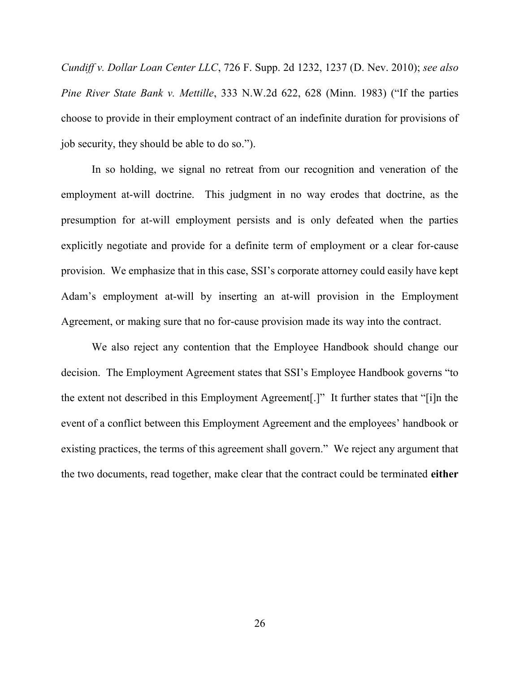*Cundiff v. Dollar Loan Center LLC*, 726 F. Supp. 2d 1232, 1237 (D. Nev. 2010); *see also Pine River State Bank v. Mettille*, 333 N.W.2d 622, 628 (Minn. 1983) ("If the parties choose to provide in their employment contract of an indefinite duration for provisions of job security, they should be able to do so.").

In so holding, we signal no retreat from our recognition and veneration of the employment at-will doctrine. This judgment in no way erodes that doctrine, as the presumption for at-will employment persists and is only defeated when the parties explicitly negotiate and provide for a definite term of employment or a clear for-cause provision. We emphasize that in this case, SSI's corporate attorney could easily have kept Adam's employment at-will by inserting an at-will provision in the Employment Agreement, or making sure that no for-cause provision made its way into the contract.

We also reject any contention that the Employee Handbook should change our decision. The Employment Agreement states that SSI's Employee Handbook governs "to the extent not described in this Employment Agreement[.]" It further states that "[i]n the event of a conflict between this Employment Agreement and the employees' handbook or existing practices, the terms of this agreement shall govern." We reject any argument that the two documents, read together, make clear that the contract could be terminated **either**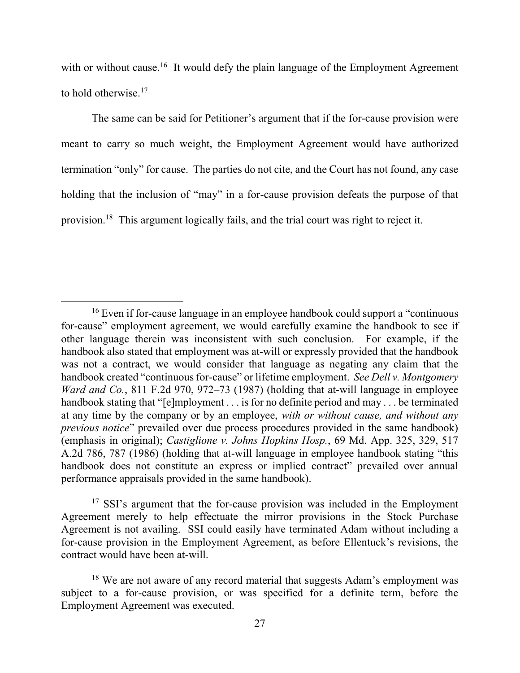with or without cause.<sup>16</sup> It would defy the plain language of the Employment Agreement to hold otherwise.<sup>17</sup>

The same can be said for Petitioner's argument that if the for-cause provision were meant to carry so much weight, the Employment Agreement would have authorized termination "only" for cause. The parties do not cite, and the Court has not found, any case holding that the inclusion of "may" in a for-cause provision defeats the purpose of that provision.<sup>18</sup> This argument logically fails, and the trial court was right to reject it.

 $\overline{a}$ 

<sup>17</sup> SSI's argument that the for-cause provision was included in the Employment Agreement merely to help effectuate the mirror provisions in the Stock Purchase Agreement is not availing. SSI could easily have terminated Adam without including a for-cause provision in the Employment Agreement, as before Ellentuck's revisions, the contract would have been at-will.

<sup>16</sup> Even if for-cause language in an employee handbook could support a "continuous for-cause" employment agreement, we would carefully examine the handbook to see if other language therein was inconsistent with such conclusion. For example, if the handbook also stated that employment was at-will or expressly provided that the handbook was not a contract, we would consider that language as negating any claim that the handbook created "continuous for-cause" or lifetime employment. *See Dell v. Montgomery Ward and Co.*, 811 F.2d 970, 972–73 (1987) (holding that at-will language in employee handbook stating that "[e]mployment . . . is for no definite period and may . . . be terminated at any time by the company or by an employee, *with or without cause, and without any previous notice*" prevailed over due process procedures provided in the same handbook) (emphasis in original); *Castiglione v. Johns Hopkins Hosp.*, 69 Md. App. 325, 329, 517 A.2d 786, 787 (1986) (holding that at-will language in employee handbook stating "this handbook does not constitute an express or implied contract" prevailed over annual performance appraisals provided in the same handbook).

<sup>&</sup>lt;sup>18</sup> We are not aware of any record material that suggests Adam's employment was subject to a for-cause provision, or was specified for a definite term, before the Employment Agreement was executed.